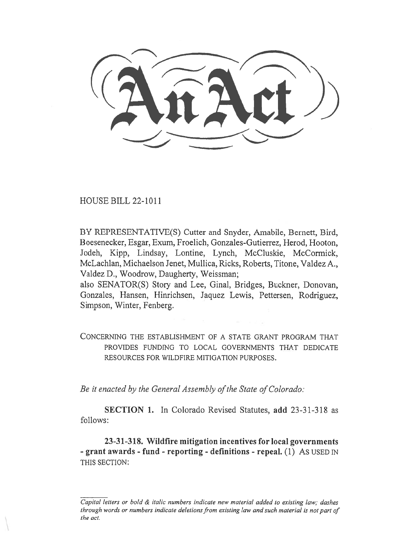l 'itrct)) -----  $\lambda$ 

HOUSE BILL 22-1011

BY REPRESENTATIVE(S) Cutter and Snyder, Amabile, Bernett, Bird, 13oesenecker, Esgar, Exum, Froelich, Gonzales-Gutierrez, Herod, Hooton, Jodeh, Kipp, Lindsay, Lontine, Lynch, McCluskie, McCormick, McLachlan, Michaelson Jenet, Mullica, Ricks, Roberts, Titone, Valdez A., Valdez D., Woodrow, Daugherty, Weissman;

also SENATOR(S) Story and Lee, Ginal, Bridges, Buckner, Donovan, Gonzales, Hansen, Hinrichsen, Jaquez Lewis, Pettersen, Rodriguez, Simpson, Winter, Fenberg.

CONCERNING THE ESTABLISHMENT OF A STATE GRANT PROGRAM THAT PROVIDES FUNDING TO LOCAL GOVERNMENTS THAT DEDICATE RESOURCES FOR WILDFIRE MITIGATION PURPOSES.

Be it enacted by the General Assembly of the State of Colorado:

SECTION 1. In Colorado Revised Statutes, add 23-31-318 as follows:

23-31-318. Wildfire mitigation incentives for local governments - grant awards - fund - reporting - definitions - repeal. (1) As USED IN THIS SECTION:

Capital letters or bold  $\&$  italic numbers indicate new material added to existing law; dashes through words or numbers indicate deletions from existing law and such material is not part of the act.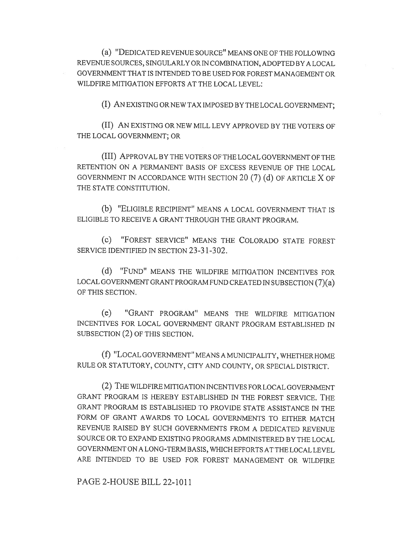(a) "DEDICATED REVENUE SOURCE" MEANS ONE OF THE FOLLOWING REVENUE SOURCES, SINGULARLY OR IN COMBINATION, ADOPTED BY A LOCAL GOVERNMENT THAT IS INTENDED TO BE USED FOR FOREST MANAGEMENT OR WILDFIRE MITIGATION EFFORTS AT THE LOCAL LEVEL:

(I) AN EXISTING OR NEW TAX IMPOSED BY THE LOCAL GOVERNMENT;

(II) AN EXISTING OR NEW MILL LEVY APPROVED BY THE VOTERS OF THE LOCAL GOVERNMENT; OR

(III) APPROVAL BY THE VOTERS OF THE LOCAL GOVERNMENT OF THE RETENTION ON A PERMANENT BASIS OF EXCESS REVENUE OF THE LOCAL GOVERNMENT IN ACCORDANCE WITH SECTION 20 (7) (d) OF ARTICLE X OF THE STATE CONSTITUTION.

(b) "ELIGIBLE RECIPIENT" MEANS A LOCAL GOVERNMENT THAT IS ELIGIBLE TO RECEIVE A GRANT THROUGH THE GRANT PROGRAM.

(e) "FOREST SERVICE" MEANS THE COLORADO STATE FOREST SERVICE IDENTIFIED IN SECTION 23-31-302.

(d) "FUND" MEANS THE WILDFIRE MITIGATION INCENTIVES FOR LOCAL GOVERNMENT GRANT PROGRAM FUND CREATED IN SUBSECTION (7)(a) OF THIS SECTION.

(e) "GRANT PROGRAM" MEANS THE WILDFIRE MITIGATION INCENTIVES FOR LOCAL GOVERNMENT GRANT PROGRAM ESTABLISHED IN SUBSECTION (2) OF THIS SECTION.

(f) "LOCAL GOVERNMENT" MEANS A MUNICIPALITY, WHETHER HOME RULE OR STATUTORY, COUNTY, CITY AND COUNTY, OR SPECIAL DISTRICT.

(2) THE WILDFIRE MITIGATION INCENTIVES FOR LOCAL GOVERNMENT GRANT PROGRAM IS HEREBY ESTABLISHED IN THE FOREST SERVICE. THE GRANT PROGRAM IS ESTABLISHED TO PROVIDE STATE ASSISTANCE IN THE FORM OF GRANT AWARDS TO LOCAL GOVERNMENTS TO EITHER MATCH REVENUE RAISED BY SUCH GOVERNMENTS FROM A DEDICATED REVENUE SOURCE OR TO EXPAND EXISTING PROGRAMS ADMINISTERED BY THE LOCAL GOVERNMENT ON A LONG-TERM BASIS, WHICH EFFORTS AT THE LOCAL LEVEL ARE INTENDED TO BE USED FOR FOREST MANAGEMENT OR WILDFIRE

PAGE 2-HOUSE BILL 22-1011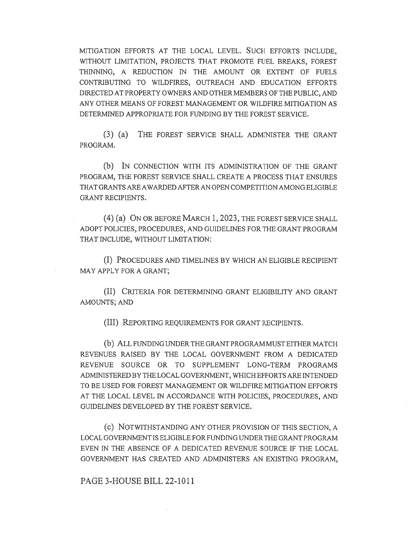MITIGATION EFFORTS AT THE LOCAL LEVEL. SUCH EFFORTS INCLUDE, WITHOUT LIMITATION, PROJECTS THAT PROMOTE FUEL BREAKS, FOREST THINNING, A REDUCTION IN THE AMOUNT OR EXTENT OF FUELS CONTRIBUTING TO WILDFIRES, OUTREACH AND EDUCATION EFFORTS DIRECTED AT PROPERTY OWNERS AND OTHER MEMBERS OF THE PUBLIC, AND ANY OTHER MEANS OF FOREST MANAGEMENT OR WILDFIRE MITIGATION AS DETERMINED APPROPRIATE FOR FUNDING BY THE FOREST SERVICE.

(3) (a) THE FOREST SERVICE SHALL ADMINISTER THE GRANT PROGRAM.

(b) IN CONNECTION WITH ITS ADMINISTRATION OF THE GRANT PROGRAM, THE FOREST SERVICE SHALL CREATE A PROCESS THAT ENSURES THAT GRANTS ARE AWARDED AFTER AN OPEN COMPETITION AMONG ELIGIBLE GRANT RECIPIENTS.

(4) (a) ON OR BEFORE MARCH 1, 2023, THE FOREST SERVICE SHALL ADOPT POLICIES, PROCEDURES, AND GUIDELINES FOR THE GRANT PROGRAM THAT INCLUDE, WITHOUT LIMITATION:

(I) PROCEDURES AND TIMELINES BY WHICH AN ELIGIBLE RECIPIENT MAY APPLY FOR A GRANT;

(II) CRITERIA FOR DETERMINING GRANT ELIGIBILITY AND GRANT AMOUNTS; AND

(III) REPORTING REQUIREMENTS FOR GRANT RECIPIENTS.

(b) ALL FUNDING UNDER THE GRANT PROGRAM MUST EITHER MATCH REVENUES RAISED BY THE LOCAL GOVERNMENT FROM A DEDICATED REVENUE SOURCE OR TO SUPPLEMENT LONG-TERM PROGRAMS ADMINISTERED BY THE LOCAL GOVERNMENT, WHICH EFFORTS ARE INTENDED TO BE USED FOR FOREST MANAGEMENT OR WILDFIRE MITIGATION EFFORTS AT THE LOCAL LEVEL IN ACCORDANCE WITH POLICIES, PROCEDURES, AND GUIDELINES DEVELOPED BY THE FOREST SERVICE.

(C) NOTWITHSTANDING ANY OTHER PROVISION OF THIS SECTION, A LOCAL GOVERNMENT IS ELIGIBLE FOR FUNDING UNDER THE GRANT PROGRAM EVEN IN THE ABSENCE OF A DEDICATED REVENUE SOURCE IF THE LOCAL GOVERNMENT HAS CREATED AND ADMINISTERS AN EXISTING PROGRAM,

PAGE 3-HOUSE BILL 22-1011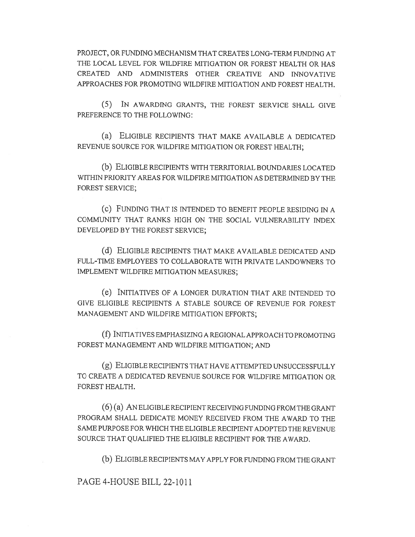PROJECT, OR FUNDING MECHANISM THAT CREATES LONG-TERM FUNDING AT THE LOCAL LEVEL FOR WILDFIRE MITIGATION OR FOREST HEALTH OR HAS CREATED AND ADMINISTERS OTHER CREATIVE AND INNOVATIVE APPROACHES FOR PROMOTING WILDFIRE MITIGATION AND FOREST HEALTH.

(5) IN AWARDING GRANTS, THE FOREST SERVICE SHALL GIVE PREFERENCE TO THE FOLLOWING:

(a) ELIGIBLE RECIPIENTS THAT MAKE AVAILABLE A DEDICATED REVENUE SOURCE FOR WILDFIRE MITIGATION OR FOREST HEALTH;

(b) ELIGIBLE RECIPIENTS WITH TERRITORIAL BOUNDARIES LOCATED WITHIN PRIORITY AREAS FOR WILDFIRE MITIGATION AS DETERMINED BY THE FOREST SERVICE;

(c) FUNDING THAT IS INTENDED TO BENEFIT PEOPLE RESIDING IN A COMMUNITY THAT RANKS HIGH ON THE SOCIAL VULNERABILITY INDEX DEVELOPED BY THE FOREST SERVICE;

(d) ELIGIBLE RECIPIENTS THAT MAKE AVAILABLE DEDICATED AND FULL-TIME EMPLOYEES TO COLLABORATE WITH PRIVATE LANDOWNERS TO IMPLEMENT WILDFIRE MITIGATION MEASURES;

(e) INITIATIVES OF A LONGER DURATION THAT ARE INTENDED TO GIVE ELIGIBLE RECIPIENTS A STABLE SOURCE OF REVENUE FOR FOREST MANAGEMENT AND WILDFIRE MITIGATION EFFORTS;

(f) INITIATIVES EMPHASIZING A REGIONAL APPROACH TO PROMOTING FOREST MANAGEMENT AND WILDFIRE MITIGATION; AND

(g) ELIGIBLE RECIPIENTS THAT HAVE ATTEMPTED UNSUCCESSFULLY TO CREATE A DEDICATED REVENUE SOURCE FOR WILDFIRE MITIGATION OR FOREST HEALTH.

(6) (a) AN ELIGIBLE RECIPIENT RECEIVING FUNDING FROM THE GRANT PROGRAM SHALL DEDICATE MONEY RECEIVED FROM THE AWARD TO THE SAME PURPOSE FOR WHICH THE ELIGIBLE RECIPIENT ADOPTED THE REVENUE SOURCE THAT QUALIFIED THE ELIGIBLE RECIPIENT FOR THE AWARD.

(b) ELIGIBLE RECIPIENTS MAY APPLY FOR FUNDING FROM THE GRANT

PAGE 4-HOUSE BILL 22-1011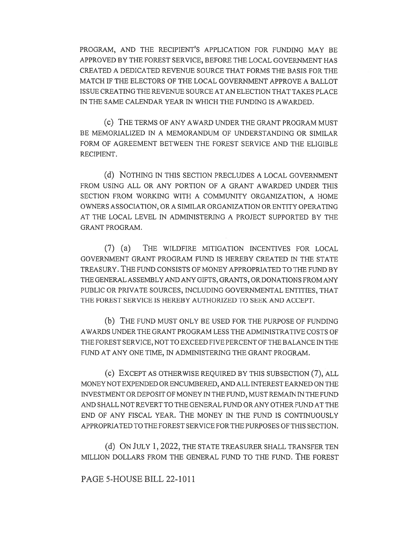PROGRAM, AND THE RECIPIENT'S APPLICATION FOR FUNDING MAY BE APPROVED BY THE FOREST SERVICE, BEFORE THE LOCAL GOVERNMENT HAS CREATED A DEDICATED REVENUE SOURCE THAT FORMS THE BASIS FOR THE MATCH IF THE ELECTORS OF THE LOCAL GOVERNMENT APPROVE A BALLOT ISSUE CREATING THE REVENUE SOURCE AT AN ELECTION THAT TAKES PLACE IN THE SAME CALENDAR YEAR IN WHICH THE FUNDING IS AWARDED.

(c) THE TERMS OF ANY AWARD UNDER THE GRANT PROGRAM MUST BE MEMORIALIZED IN A MEMORANDUM OF UNDERSTANDING OR SIMILAR FORM OF AGREEMENT BETWEEN THE FOREST SERVICE AND THE ELIGIBLE RECIPIENT.

(d) NOTHING IN THIS SECTION PRECLUDES A LOCAL GOVERNMENT FROM USING ALL OR ANY PORTION OF A GRANT AWARDED UNDER THIS SECTION FROM WORKING WITH A COMMUNITY ORGANIZATION, A HOME OWNERS ASSOCIATION, OR A SIMILAR ORGANIZATION OR ENTITY OPERATING AT THE LOCAL LEVEL IN ADMINISTERING A PROJECT SUPPORTED BY THE GRANT PROGRAM.

(7) (a) THE WILDFIRE MITIGATION INCENTIVES FOR LOCAL GOVERNMENT GRANT PROGRAM FUND IS HEREBY CREATED IN THE STATE TREASURY. THE FUND CONSISTS OF MONEY APPROPRIATED TO THE FUND BY THE GENERAL ASSEMBLY AND ANY GIFTS, GRANTS, OR DONATIONS FROM ANY PUBLIC OR PRIVATE SOURCES, INCLUDING GOVERNMENTAL ENTITIES, THAT THE FOREST SERVICE IS HEREBY AUTHORIZED TO SEEK AND ACCEPT.

(b) THE FUND MUST ONLY BE USED FOR THE PURPOSE OF FUNDING AWARDS UNDER THE GRANT PROGRAM LESS THE ADMINISTRATIVE COSTS OF THE FOREST SERVICE, NOT TO EXCEED FIVE PERCENT OF THE BALANCE IN THE FUND AT ANY ONE TIME, IN ADMINISTERING THE GRANT PROGRAM.

(c) EXCEPT AS OTHERWISE REQUIRED BY THIS SUBSECTION (7), ALL MONEY NOT EXPENDED OR ENCUMBERED, AND ALL INTEREST EARNED ON THE INVESTMENT OR DEPOSIT OF MONEY IN THE FUND, MUST REMAIN IN THE FUND AND SHALL NOT REVERT TO THE GENERAL FUND OR ANY OTHER FUND AT THE END OF ANY FISCAL YEAR. THE MONEY IN THE FUND IS CONTINUOUSLY APPROPRIATED TO THE FOREST SERVICE FOR THE PURPOSES OF THIS SECTION.

(d) ON JULY 1, 2022, THE STATE TREASURER SHALL TRANSFER TEN MILLION DOLLARS FROM THE GENERAL FUND TO THE FUND. THE FOREST

PAGE 5-HOUSE BILL 22-1011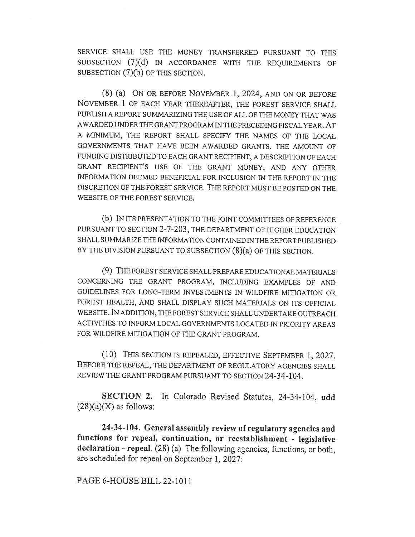SERVICE SHALL USE THE MONEY TRANSFERRED PURSUANT TO THIS SUBSECTION (7)(d) IN ACCORDANCE WITH THE REQUIREMENTS OF SUBSECTION (7)(b) OF THIS SECTION.

(8) (a) ON OR BEFORE NOVEMBER 1, 2024, AND ON OR BEFORE NOVEMBER 1 OF EACH YEAR THEREAFTER, THE FOREST SERVICE SHALL PUBLISH A REPORT SUMMARIZING THE USE OF ALL OF THE MONEY THAT WAS AWARDED UNDER THE GRANT PROGRAM IN THE PRECEDING FISCAL YEAR. AT A MINIMUM, THE REPORT SHALL SPECIFY THE NAMES OF THE LOCAL GOVERNMENTS THAT HAVE BEEN AWARDED GRANTS, THE AMOUNT OF FUNDING DISTRIBUTED TO EACH GRANT RECIPIENT, A DESCRIPTION OF EACH GRANT RECIPIENT'S USE OF THE GRANT MONEY, AND ANY OTHER INFORMATION DEEMED BENEFICIAL FOR INCLUSION IN THE REPORT IN THE DISCRETION OF THE FOREST SERVICE. THE REPORT MUST BE POSTED ON THE WEBSITE OF THE FOREST SERVICE.

(b) IN ITS PRESENTATION TO THE JOINT COMMITTEES OF REFERENCE PURSUANT TO SECTION 2-7-203, THE DEPARTMENT OF HIGHER EDUCATION SHALL SUMMARIZE THE INFORMATION CONTAINED IN THE REPORT PUBLISHED BY THE DIVISION PURSUANT TO SUBSECTION (8)(a) OF THIS SECTION.

(9) THE FOREST SERVICE SHALL PREPARE EDUCATIONAL MATERIALS CONCERNING THE GRANT PROGRAM, INCLUDING EXAMPLES OF AND GUIDELINES FOR LONG-TERM INVESTMENTS IN WILDFIRE MITIGATION OR FOREST HEALTH, AND SHALL DISPLAY SUCH MATERIALS ON ITS OFFICIAL WEBSITE. IN ADDITION, THE FOREST SERVICE SHALL UNDERTAKE OUTREACH ACTIVITIES TO INFORM LOCAL GOVERNMENTS LOCATED IN PRIORITY AREAS FOR WILDFIRE MITIGATION OF THE GRANT PROGRAM.

(10) THIS SECTION IS REPEALED, EFFECTIVE SEPTEMBER 1, 2027. BEFORE THE REPEAL, THE DEPARTMENT OF REGULATORY AGENCIES SHALL REVIEW THE GRANT PROGRAM PURSUANT TO SECTION 24-34-104.

SECTION 2. In Colorado Revised Statutes, 24-34-104, add  $(28)(a)(X)$  as follows:

24-34-104. General assembly review of regulatory agencies and functions for repeal, continuation, or reestablishment - legislative declaration - repeal. (28) (a) The following agencies, functions, or both, are scheduled for repeal on September 1, 2027:

PAGE 6-HOUSE BILL 22-1011